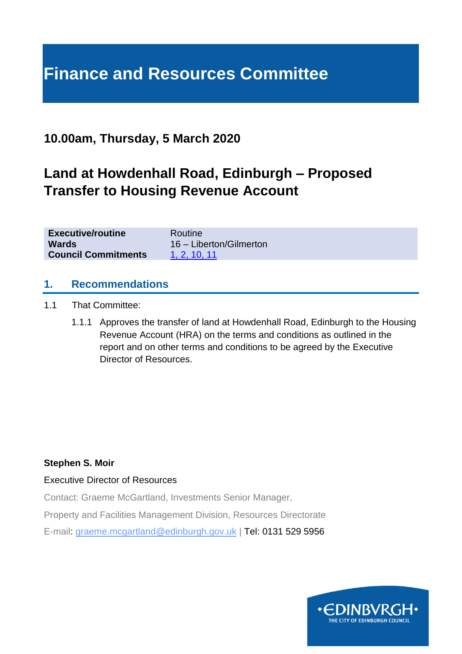# **Finance and Resources Committee**

## **10.00am, Thursday, 5 March 2020**

# **Land at Howdenhall Road, Edinburgh – Proposed Transfer to Housing Revenue Account**

| <b>Executive/routine</b>   | Routine                 |
|----------------------------|-------------------------|
| <b>Wards</b>               | 16 - Liberton/Gilmerton |
| <b>Council Commitments</b> | 1. 2. 10. 11            |

#### **1. Recommendations**

- 1.1 That Committee:
	- 1.1.1 Approves the transfer of land at Howdenhall Road, Edinburgh to the Housing Revenue Account (HRA) on the terms and conditions as outlined in the report and on other terms and conditions to be agreed by the Executive Director of Resources.

#### **Stephen S. Moir**

#### Executive Director of Resources

Contact: Graeme McGartland, Investments Senior Manager,

Property and Facilities Management Division, Resources Directorate

E-mail: graeme.mcgartland@edinburgh.gov.uk | Tel: 0131 529 5956

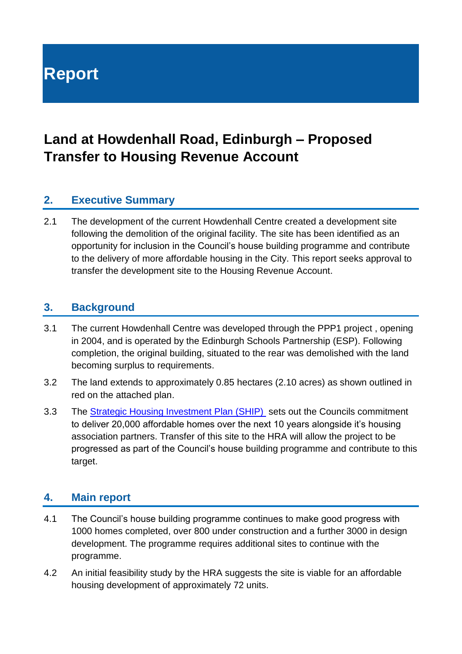# **Report**

# **Land at Howdenhall Road, Edinburgh – Proposed Transfer to Housing Revenue Account**

## **2. Executive Summary**

2.1 The development of the current Howdenhall Centre created a development site following the demolition of the original facility. The site has been identified as an opportunity for inclusion in the Council's house building programme and contribute to the delivery of more affordable housing in the City. This report seeks approval to transfer the development site to the Housing Revenue Account.

#### **3. Background**

- 3.1 The current Howdenhall Centre was developed through the PPP1 project , opening in 2004, and is operated by the Edinburgh Schools Partnership (ESP). Following completion, the original building, situated to the rear was demolished with the land becoming surplus to requirements.
- 3.2 The land extends to approximately 0.85 hectares (2.10 acres) as shown outlined in red on the attached plan.
- 3.3 The [Strategic Housing Investment Plan \(SHIP\)](https://democracy.edinburgh.gov.uk/Data/Housing%20and%20Economy%20Committee/20181101/Agenda/item_76_-_strategic_housing_investment_plan_ship_2019-2024.pdf#search=%22Strategic%20Housing%20Investment%20Plan%22) sets out the Councils commitment to deliver 20,000 affordable homes over the next 10 years alongside it's housing association partners. Transfer of this site to the HRA will allow the project to be progressed as part of the Council's house building programme and contribute to this target.

### **4. Main report**

- 4.1 The Council's house building programme continues to make good progress with 1000 homes completed, over 800 under construction and a further 3000 in design development. The programme requires additional sites to continue with the programme.
- 4.2 An initial feasibility study by the HRA suggests the site is viable for an affordable housing development of approximately 72 units.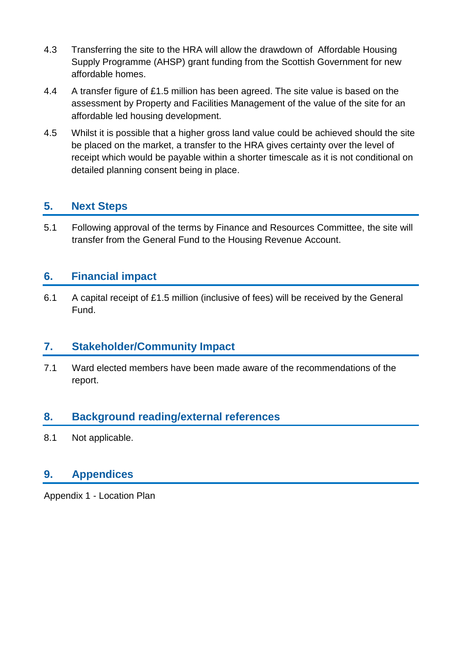- 4.3 Transferring the site to the HRA will allow the drawdown of Affordable Housing Supply Programme (AHSP) grant funding from the Scottish Government for new affordable homes.
- 4.4 A transfer figure of £1.5 million has been agreed. The site value is based on the assessment by Property and Facilities Management of the value of the site for an affordable led housing development.
- 4.5 Whilst it is possible that a higher gross land value could be achieved should the site be placed on the market, a transfer to the HRA gives certainty over the level of receipt which would be payable within a shorter timescale as it is not conditional on detailed planning consent being in place.

## **5. Next Steps**

5.1 Following approval of the terms by Finance and Resources Committee, the site will transfer from the General Fund to the Housing Revenue Account.

#### **6. Financial impact**

6.1 A capital receipt of £1.5 million (inclusive of fees) will be received by the General Fund.

### **7. Stakeholder/Community Impact**

7.1 Ward elected members have been made aware of the recommendations of the report.

### **8. Background reading/external references**

8.1 Not applicable.

#### **9. Appendices**

Appendix 1 - Location Plan